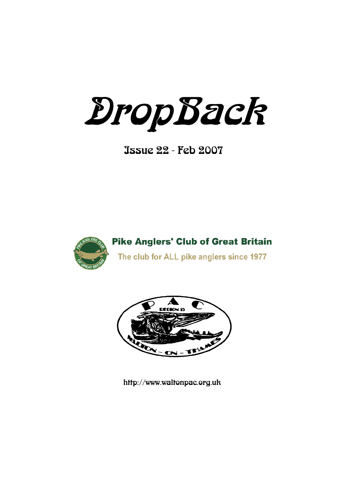DropBack

Issue 22 - Feb 2007



**Pike Anglers' Club of Great Britain** 

The club for ALL pike anglers since 1977



http://www.waltonpac.org.uk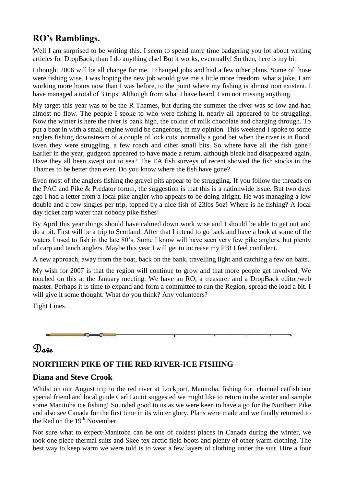# **RO's Ramblings.**

Well I am surprised to be writing this. I seem to spend more time badgering you lot about writing articles for DropBack, than I do anything else! But it works, eventually! So then, here is my bit.

I thought 2006 will be all change for me. I changed jobs and had a few other plans. Some of those were fishing wise. I was hoping the new job would give me a little more freedom, what a joke. I am working more hours now than I was before, to the point where my fishing is almost non existent. I have managed a total of 3 trips. Although from what I have heard, I am not missing anything.

My target this year was to be the R Thames, but during the summer the river was so low and had almost no flow. The people I spoke to who were fishing it, nearly all appeared to be struggling. Now the winter is here the river is bank high, the colour of milk chocolate and charging through. To put a boat in with a small engine would be dangerous, in my opinion. This weekend I spoke to some anglers fishing downstream of a couple of lock cuts, normally a good bet when the river is in flood. Even they were struggling, a few roach and other small bits. So where have all the fish gone? Earlier in the year, gudgeon appeared to have made a return, although bleak had disappeared again. Have they all been swept out to sea? The EA fish surveys of recent showed the fish stocks in the Thames to be better than ever. Do you know where the fish have gone?

Even most of the anglers fishing the gravel pits appear to be struggling. If you follow the threads on the PAC and Pike & Predator forum, the suggestion is that this is a nationwide issue. But two days ago I had a letter from a local pike angler who appears to be doing alright. He was managing a low double and a few singles per trip, topped by a nice fish of 23lbs 5oz! Where is he fishing? A local day ticket carp water that nobody pike fishes!

By April this year things should have calmed down work wise and I should be able to get out and do a bit. First will be a trip to Scotland. After that I intend to go back and have a look at some of the waters I used to fish in the late 80's. Some I know will have seen very few pike anglers, but plenty of carp and tench anglers. Maybe this year I will get to increase my PB! I feel confident.

A new approach, away from the boat, back on the bank, travelling light and catching a few on baits.

My wish for 2007 is that the region will continue to grow and that more people get involved. We touched on this at the January meeting. We have an RO, a treasurer and a DropBack editor/web master. Perhaps it is time to expand and form a committee to run the Region, spread the load a bit. I will give it some thought. What do you think? Any volunteers?

Tight Lines



# Dave

# **NORTHERN PIKE OF THE RED RIVER-ICE FISHING**

## **Diana and Steve Crook**

Whilst on our August trip to the red river at Lockport, Manitoba, fishing for channel catfish our special friend and local guide Carl Loutit suggested we might like to return in the winter and sample some Manitoba ice fishing! Sounded good to us as we were keen to have a go for the Northern Pike and also see Canada for the first time in its winter glory. Plans were made and we finally returned to the Red on the  $19<sup>th</sup>$  November.

Not sure what to expect-Manitoba can be one of coldest places in Canada during the winter, we took one piece thermal suits and Skee-tex arctic field boots and plenty of other warm clothing. The best way to keep warm we were told is to wear a few layers of clothing under the suit. Hire a four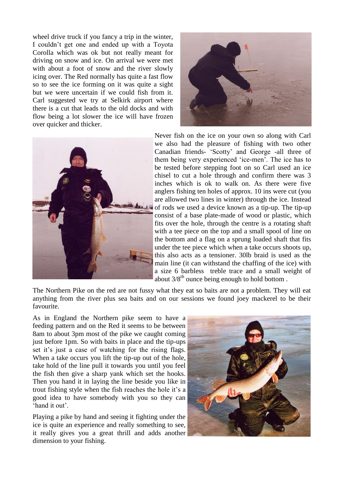wheel drive truck if you fancy a trip in the winter, I couldn't get one and ended up with a Toyota Corolla which was ok but not really meant for driving on snow and ice. On arrival we were met with about a foot of snow and the river slowly icing over. The Red normally has quite a fast flow so to see the ice forming on it was quite a sight but we were uncertain if we could fish from it. Carl suggested we try at Selkirk airport where there is a cut that leads to the old docks and with flow being a lot slower the ice will have frozen over quicker and thicker.





Never fish on the ice on your own so along with Carl we also had the pleasure of fishing with two other Canadian friends- 'Scotty' and George -all three of them being very experienced 'ice-men'. The ice has to be tested before stepping foot on so Carl used an ice chisel to cut a hole through and confirm there was 3 inches which is ok to walk on. As there were five anglers fishing ten holes of approx. 10 ins were cut (you are allowed two lines in winter) through the ice. Instead of rods we used a device known as a tip-up. The tip-up consist of a base plate-made of wood or plastic, which fits over the hole, through the centre is a rotating shaft with a tee piece on the top and a small spool of line on the bottom and a flag on a sprung loaded shaft that fits under the tee piece which when a take occurs shoots up, this also acts as a tensioner. 30lb braid is used as the main line (it can withstand the chaffing of the ice) with a size 6 barbless treble trace and a small weight of about  $3/8^{th}$  ounce being enough to hold bottom.

The Northern Pike on the red are not fussy what they eat so baits are not a problem. They will eat anything from the river plus sea baits and on our sessions we found joey mackerel to be their favourite.

As in England the Northern pike seem to have a feeding pattern and on the Red it seems to be between 8am to about 3pm most of the pike we caught coming just before 1pm. So with baits in place and the tip-ups set it's just a case of watching for the rising flags. When a take occurs you lift the tip-up out of the hole. take hold of the line pull it towards you until you feel the fish then give a sharp yank which set the hooks. Then you hand it in laying the line beside you like in trout fishing style when the fish reaches the hole it's a good idea to have somebody with you so they can ‗hand it out'.

Playing a pike by hand and seeing it fighting under the ice is quite an experience and really something to see, it really gives you a great thrill and adds another dimension to your fishing.

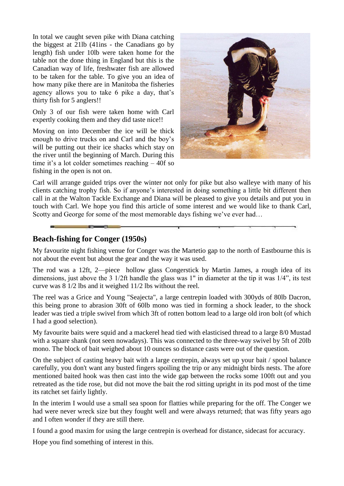In total we caught seven pike with Diana catching the biggest at 21lb (41ins - the Canadians go by length) fish under 10lb were taken home for the table not the done thing in England but this is the Canadian way of life, freshwater fish are allowed to be taken for the table. To give you an idea of how many pike there are in Manitoba the fisheries agency allows you to take 6 pike a day, that's thirty fish for 5 anglers!!

Only 3 of our fish were taken home with Carl expertly cooking them and they did taste nice!!

Moving on into December the ice will be thick enough to drive trucks on and Carl and the boy's will be putting out their ice shacks which stay on the river until the beginning of March. During this time it's a lot colder sometimes reaching – 40f so fishing in the open is not on.



Carl will arrange guided trips over the winter not only for pike but also walleye with many of his clients catching trophy fish. So if anyone's interested in doing something a little bit different then call in at the Walton Tackle Exchange and Diana will be pleased to give you details and put you in touch with Carl. We hope you find this article of some interest and we would like to thank Carl, Scotty and George for some of the most memorable days fishing we've ever had…

## **Beach-fishing for Conger (1950s)**

My favourite night fishing venue for Conger was the Martetio gap to the north of Eastbourne this is not about the event but about the gear and the way it was used.

The rod was a 12ft, 2—piece hollow glass Congerstick by Martin James, a rough idea of its dimensions, just above the 3 1/2ft handle the glass was 1" in diameter at the tip it was  $1/4$ ", its test curve was 8 1/2 lbs and it weighed 11/2 lbs without the reel.

The reel was a Grice and Young "Seajecta", a large centrepin loaded with 300yds of 80lb Dacron, this being prone to abrasion 30ft of 60lb mono was tied in forming a shock leader, to the shock leader was tied a triple swivel from which 3ft of rotten bottom lead to a large old iron bolt (of which I had a good selection).

My favourite baits were squid and a mackerel head tied with elasticised thread to a large 8/0 Mustad with a square shank (not seen nowadays). This was connected to the three-way swivel by 5ft of 20lb mono. The block of bait weighed about 10 ounces so distance casts were out of the question.

On the subject of casting heavy bait with a large centrepin, always set up your bait / spool balance carefully, you don't want any busted fingers spoiling the trip or any midnight birds nests. The afore mentioned baited hook was then cast into the wide gap between the rocks some 100ft out and you retreated as the tide rose, but did not move the bait the rod sitting upright in its pod most of the time its ratchet set fairly lightly.

In the interim I would use a small sea spoon for flatties while preparing for the off. The Conger we had were never wreck size but they fought well and were always returned; that was fifty years ago and I often wonder if they are still there.

I found a good maxim for using the large centrepin is overhead for distance, sidecast for accuracy.

Hope you find something of interest in this.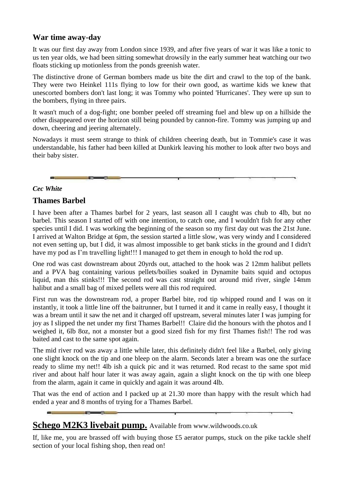## **War time away-day**

It was our first day away from London since 1939, and after five years of war it was like a tonic to us ten year olds, we had been sitting somewhat drowsily in the early summer heat watching our two floats sticking up motionless from the ponds greenish water.

The distinctive drone of German bombers made us bite the dirt and crawl to the top of the bank. They were two Heinkel 111s flying to low for their own good, as wartime kids we knew that unescorted bombers don't last long; it was Tommy who pointed 'Hurricanes'. They were up sun to the bombers, flying in three pairs.

It wasn't much of a dog-fight; one bomber peeled off streaming fuel and blew up on a hillside the other disappeared over the horizon still being pounded by cannon-fire. Tommy was jumping up and down, cheering and jeering alternately.

Nowadays it must seem strange to think of children cheering death, but in Tommie's case it was understandable, his father had been killed at Dunkirk leaving his mother to look after two boys and their baby sister.

## *Cec White*

## **Thames Barbel**

I have been after a Thames barbel for 2 years, last season all I caught was chub to 4lb, but no barbel. This season I started off with one intention, to catch one, and I wouldn't fish for any other species until I did. I was working the beginning of the season so my first day out was the 21st June. I arrived at Walton Bridge at 6pm, the session started a little slow, was very windy and I considered not even setting up, but I did, it was almost impossible to get bank sticks in the ground and I didn't have my pod as I'm travelling light!!! I managed to get them in enough to hold the rod up.

One rod was cast downstream about 20yrds out, attached to the hook was 2 12mm halibut pellets and a PVA bag containing various pellets/boilies soaked in Dynamite baits squid and octopus liquid, man this stinks!!! The second rod was cast straight out around mid river, single 14mm halibut and a small bag of mixed pellets were all this rod required.

First run was the downstream rod, a proper Barbel bite, rod tip whipped round and I was on it instantly, it took a little line off the baitrunner, but I turned it and it came in really easy, I thought it was a bream until it saw the net and it charged off upstream, several minutes later I was jumping for joy as I slipped the net under my first Thames Barbel!! Claire did the honours with the photos and I weighed it, 6lb 8oz, not a monster but a good sized fish for my first Thames fish!! The rod was baited and cast to the same spot again.

The mid river rod was away a little while later, this definitely didn't feel like a Barbel, only giving one slight knock on the tip and one bleep on the alarm. Seconds later a bream was one the surface ready to slime my net!! 4lb ish a quick pic and it was returned. Rod recast to the same spot mid river and about half hour later it was away again, again a slight knock on the tip with one bleep from the alarm, again it came in quickly and again it was around 4lb.

That was the end of action and I packed up at 21.30 more than happy with the result which had ended a year and 8 months of trying for a Thames Barbel.

# **Schego M2K3 livebait pump.** Available from www.wildwoods.co.uk

If, like me, you are brassed off with buying those £5 aerator pumps, stuck on the pike tackle shelf section of your local fishing shop, then read on!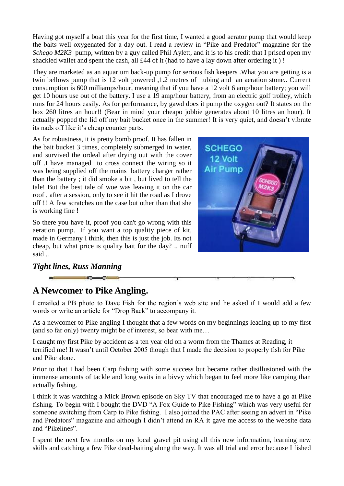Having got myself a boat this year for the first time, I wanted a good aerator pump that would keep the baits well oxygenated for a day out. I read a review in "Pike and Predator" magazine for the *Schego M2K3* pump, written by a guy called Phil Aylett, and it is to his credit that I prised open my shackled wallet and spent the cash, all £44 of it (had to have a lay down after ordering it ) !

They are marketed as an aquarium back-up pump for serious fish keepers .What you are getting is a twin bellows pump that is 12 volt powered ,1.2 metres of tubing and an aeration stone.. Current consumption is 600 milliamps/hour, meaning that if you have a 12 volt 6 amp/hour battery; you will get 10 hours use out of the battery. I use a 19 amp/hour battery, from an electric golf trolley, which runs for 24 hours easily. As for performance, by gawd does it pump the oxygen out? It states on the box 260 litres an hour!! (Bear in mind your cheapo jobbie generates about 10 litres an hour). It actually popped the lid off my bait bucket once in the summer! It is very quiet, and doesn't vibrate its nads off like it's cheap counter parts.

As for robustness, it is pretty bomb proof. It has fallen in the bait bucket 3 times, completely submerged in water, and survived the ordeal after drying out with the cover off .I have managed to cross connect the wiring so it was being supplied off the mains battery charger rather than the battery ; it did smoke a bit , but lived to tell the tale! But the best tale of woe was leaving it on the car roof , after a session, only to see it hit the road as I drove off !! A few scratches on the case but other than that she is working fine !

So there you have it, proof you can't go wrong with this aeration pump. If you want a top quality piece of kit, made in Germany I think, then this is just the job. Its not cheap, but what price is quality bait for the day? .. nuff said ..



## *Tight lines, Russ Manning*

# **A Newcomer to Pike Angling.**

I emailed a PB photo to Dave Fish for the region's web site and he asked if I would add a few words or write an article for "Drop Back" to accompany it.

As a newcomer to Pike angling I thought that a few words on my beginnings leading up to my first (and so far only) twenty might be of interest, so bear with me…

I caught my first Pike by accident as a ten year old on a worm from the Thames at Reading, it terrified me! It wasn't until October 2005 though that I made the decision to properly fish for Pike and Pike alone.

Prior to that I had been Carp fishing with some success but became rather disillusioned with the immense amounts of tackle and long waits in a bivvy which began to feel more like camping than actually fishing.

I think it was watching a Mick Brown episode on Sky TV that encouraged me to have a go at Pike fishing. To begin with I bought the DVD "A Fox Guide to Pike Fishing" which was very useful for someone switching from Carp to Pike fishing. I also joined the PAC after seeing an advert in "Pike" and Predators" magazine and although I didn't attend an RA it gave me access to the website data and "Pikelines".

I spent the next few months on my local gravel pit using all this new information, learning new skills and catching a few Pike dead-baiting along the way. It was all trial and error because I fished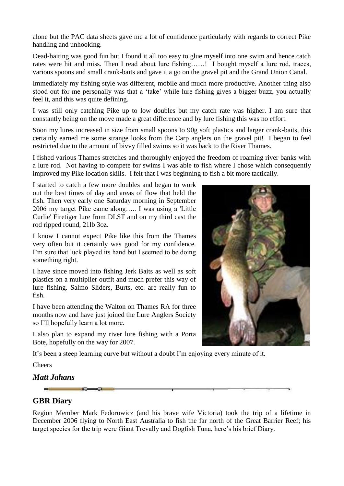alone but the PAC data sheets gave me a lot of confidence particularly with regards to correct Pike handling and unhooking.

Dead-baiting was good fun but I found it all too easy to glue myself into one swim and hence catch rates were hit and miss. Then I read about lure fishing……! I bought myself a lure rod, traces, various spoons and small crank-baits and gave it a go on the gravel pit and the Grand Union Canal.

Immediately my fishing style was different, mobile and much more productive. Another thing also stood out for me personally was that a 'take' while lure fishing gives a bigger buzz, you actually feel it, and this was quite defining.

I was still only catching Pike up to low doubles but my catch rate was higher. I am sure that constantly being on the move made a great difference and by lure fishing this was no effort.

Soon my lures increased in size from small spoons to 90g soft plastics and larger crank-baits, this certainly earned me some strange looks from the Carp anglers on the gravel pit! I began to feel restricted due to the amount of bivvy filled swims so it was back to the River Thames.

I fished various Thames stretches and thoroughly enjoyed the freedom of roaming river banks with a lure rod. Not having to compete for swims I was able to fish where I chose which consequently improved my Pike location skills. I felt that I was beginning to fish a bit more tactically.

I started to catch a few more doubles and began to work out the best times of day and areas of flow that held the fish. Then very early one Saturday morning in September 2006 my target Pike came along….. I was using a 'Little Curlie' Firetiger lure from DLST and on my third cast the rod ripped round, 21lb 3oz.

I know I cannot expect Pike like this from the Thames very often but it certainly was good for my confidence. I'm sure that luck played its hand but I seemed to be doing something right.

I have since moved into fishing Jerk Baits as well as soft plastics on a multiplier outfit and much prefer this way of lure fishing. Salmo Sliders, Burts, etc. are really fun to fish.

I have been attending the Walton on Thames RA for three months now and have just joined the Lure Anglers Society so I'll hopefully learn a lot more.

I also plan to expand my river lure fishing with a Porta Bote, hopefully on the way for 2007.



It's been a steep learning curve but without a doubt I'm enjoying every minute of it.

Cheers

## *Matt Jahans*

## **GBR Diary**

Region Member Mark Fedorowicz (and his brave wife Victoria) took the trip of a lifetime in December 2006 flying to North East Australia to fish the far north of the Great Barrier Reef; his target species for the trip were Giant Trevally and Dogfish Tuna, here's his brief Diary.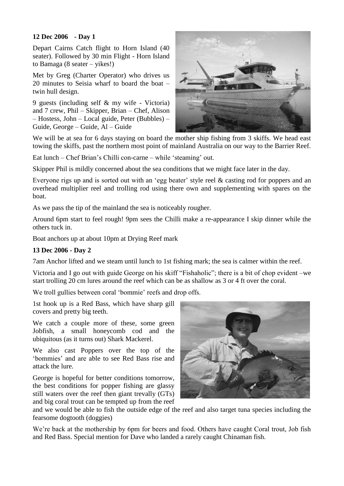### **12 Dec 2006 - Day 1**

Depart Cairns Catch flight to Horn Island (40 seater). Followed by 30 min Flight - Horn Island to Bamaga (8 seater – yikes!)

Met by Greg (Charter Operator) who drives us 20 minutes to Seisia wharf to board the boat – twin hull design.

9 guests (including self & my wife - Victoria) and 7 crew, Phil – Skipper, Brian – Chef, Alison – Hostess, John – Local guide, Peter (Bubbles) – Guide, George – Guide, Al – Guide



We will be at sea for 6 days staying on board the mother ship fishing from 3 skiffs. We head east towing the skiffs, past the northern most point of mainland Australia on our way to the Barrier Reef.

Eat lunch – Chef Brian's Chilli con-carne – while 'steaming' out.

Skipper Phil is mildly concerned about the sea conditions that we might face later in the day.

Everyone rigs up and is sorted out with an 'egg beater' style reel  $\&$  casting rod for poppers and an overhead multiplier reel and trolling rod using there own and supplementing with spares on the boat.

As we pass the tip of the mainland the sea is noticeably rougher.

Around 6pm start to feel rough! 9pm sees the Chilli make a re-appearance I skip dinner while the others tuck in.

Boat anchors up at about 10pm at Drying Reef mark

#### **13 Dec 2006 - Day 2**

7am Anchor lifted and we steam until lunch to 1st fishing mark; the sea is calmer within the reef.

Victoria and I go out with guide George on his skiff "Fishaholic"; there is a bit of chop evident –we start trolling 20 cm lures around the reef which can be as shallow as 3 or 4 ft over the coral.

We troll gullies between coral 'bommie' reefs and drop offs.

1st hook up is a Red Bass, which have sharp gill covers and pretty big teeth.

We catch a couple more of these, some green Jobfish, a small honeycomb cod and the ubiquitous (as it turns out) Shark Mackerel.

We also cast Poppers over the top of the ‗bommies' and are able to see Red Bass rise and attack the lure.

George is hopeful for better conditions tomorrow, the best conditions for popper fishing are glassy still waters over the reef then giant trevally (GTs) and big coral trout can be tempted up from the reef



and we would be able to fish the outside edge of the reef and also target tuna species including the fearsome dogtooth (doggies)

We're back at the mothership by 6pm for beers and food. Others have caught Coral trout, Job fish and Red Bass. Special mention for Dave who landed a rarely caught Chinaman fish.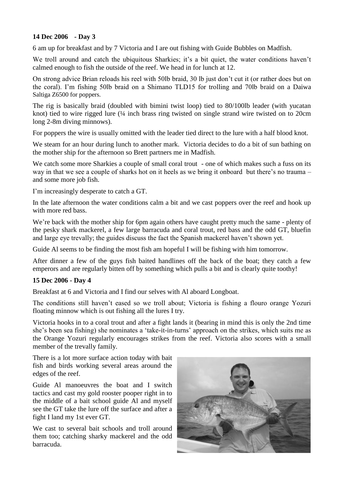### **14 Dec 2006 - Day 3**

6 am up for breakfast and by 7 Victoria and I are out fishing with Guide Bubbles on Madfish.

We troll around and catch the ubiquitous Sharkies; it's a bit quiet, the water conditions haven't calmed enough to fish the outside of the reef. We head in for lunch at 12.

On strong advice Brian reloads his reel with 50lb braid, 30 lb just don't cut it (or rather does but on the coral). I'm fishing 50lb braid on a Shimano TLD15 for trolling and 70lb braid on a Daiwa Saltiga Z6500 for poppers.

The rig is basically braid (doubled with bimini twist loop) tied to 80/100lb leader (with yucatan knot) tied to wire rigged lure (¼ inch brass ring twisted on single strand wire twisted on to 20cm long 2-8m diving minnows).

For poppers the wire is usually omitted with the leader tied direct to the lure with a half blood knot.

We steam for an hour during lunch to another mark. Victoria decides to do a bit of sun bathing on the mother ship for the afternoon so Brett partners me in Madfish.

We catch some more Sharkies a couple of small coral trout - one of which makes such a fuss on its way in that we see a couple of sharks hot on it heels as we bring it onboard but there's no trauma – and some more job fish.

I'm increasingly desperate to catch a GT.

In the late afternoon the water conditions calm a bit and we cast poppers over the reef and hook up with more red bass.

We're back with the mother ship for 6pm again others have caught pretty much the same - plenty of the pesky shark mackerel, a few large barracuda and coral trout, red bass and the odd GT, bluefin and large eye trevally; the guides discuss the fact the Spanish mackerel haven't shown yet.

Guide Al seems to be finding the most fish am hopeful I will be fishing with him tomorrow.

After dinner a few of the guys fish baited handlines off the back of the boat; they catch a few emperors and are regularly bitten off by something which pulls a bit and is clearly quite toothy!

### **15 Dec 2006 - Day 4**

Breakfast at 6 and Victoria and I find our selves with Al aboard Longboat.

The conditions still haven't eased so we troll about; Victoria is fishing a flouro orange Yozuri floating minnow which is out fishing all the lures I try.

Victoria hooks in to a coral trout and after a fight lands it (bearing in mind this is only the 2nd time she's been sea fishing) she nominates a 'take-it-in-turns' approach on the strikes, which suits me as the Orange Yozuri regularly encourages strikes from the reef. Victoria also scores with a small member of the trevally family.

There is a lot more surface action today with bait fish and birds working several areas around the edges of the reef.

Guide Al manoeuvres the boat and I switch tactics and cast my gold rooster pooper right in to the middle of a bait school guide Al and myself see the GT take the lure off the surface and after a fight I land my 1st ever GT.

We cast to several bait schools and troll around them too; catching sharky mackerel and the odd barracuda.

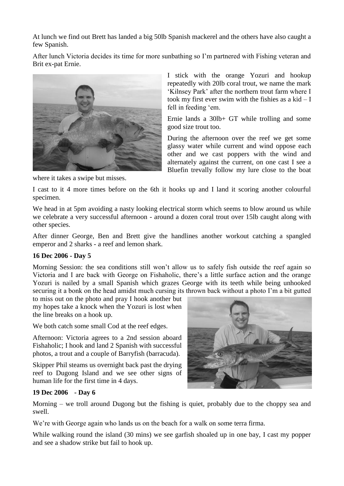At lunch we find out Brett has landed a big 50lb Spanish mackerel and the others have also caught a few Spanish.

After lunch Victoria decides its time for more sunbathing so I'm partnered with Fishing veteran and Brit ex-pat Ernie.



where it takes a swipe but misses.

I stick with the orange Yozuri and hookup repeatedly with 20lb coral trout, we name the mark ‗Kilnsey Park' after the northern trout farm where I took my first ever swim with the fishies as a  $kid - I$ fell in feeding 'em.

Ernie lands a 30lb+ GT while trolling and some good size trout too.

During the afternoon over the reef we get some glassy water while current and wind oppose each other and we cast poppers with the wind and alternately against the current, on one cast I see a Bluefin trevally follow my lure close to the boat

I cast to it 4 more times before on the 6th it hooks up and I land it scoring another colourful specimen.

We head in at 5pm avoiding a nasty looking electrical storm which seems to blow around us while we celebrate a very successful afternoon - around a dozen coral trout over 15lb caught along with other species.

After dinner George, Ben and Brett give the handlines another workout catching a spangled emperor and 2 sharks - a reef and lemon shark.

#### **16 Dec 2006 - Day 5**

Morning Session: the sea conditions still won't allow us to safely fish outside the reef again so Victoria and I are back with George on Fishaholic, there's a little surface action and the orange Yozuri is nailed by a small Spanish which grazes George with its teeth while being unhooked securing it a bonk on the head amidst much cursing its thrown back without a photo I'm a bit gutted

to miss out on the photo and pray I hook another but my hopes take a knock when the Yozuri is lost when the line breaks on a hook up.

We both catch some small Cod at the reef edges.

Afternoon: Victoria agrees to a 2nd session aboard Fishaholic; I hook and land 2 Spanish with successful photos, a trout and a couple of Barryfish (barracuda).

Skipper Phil steams us overnight back past the drying reef to Dugong Island and we see other signs of human life for the first time in 4 days.



#### **19 Dec 2006 - Day 6**

Morning – we troll around Dugong but the fishing is quiet, probably due to the choppy sea and swell.

We're with George again who lands us on the beach for a walk on some terra firma.

While walking round the island (30 mins) we see garfish shoaled up in one bay, I cast my popper and see a shadow strike but fail to hook up.